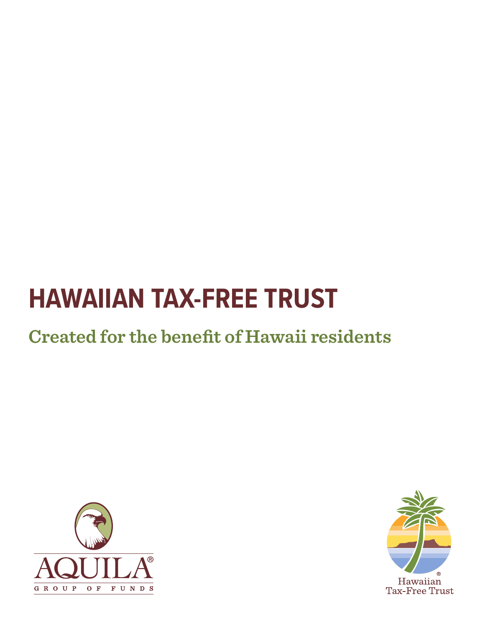# **Created for the benefit of Hawaii residents**



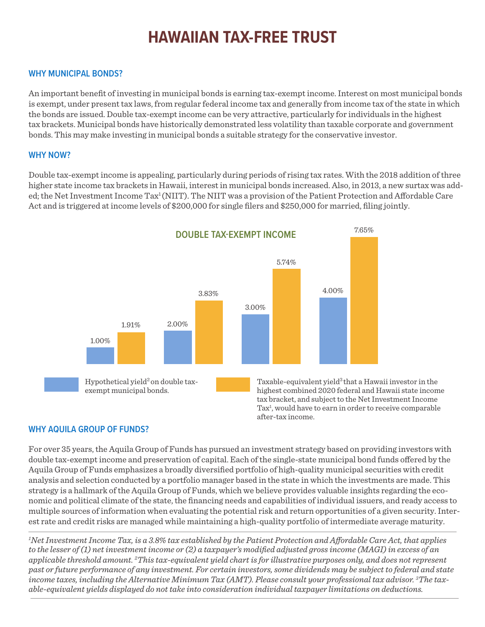#### **WHY MUNICIPAL BONDS?**

An important benefit of investing in municipal bonds is earning tax-exempt income. Interest on most municipal bonds is exempt, under present tax laws, from regular federal income tax and generally from income tax of the state in which the bonds are issued. Double tax-exempt income can be very attractive, particularly for individuals in the highest tax brackets. Municipal bonds have historically demonstrated less volatility than taxable corporate and government bonds. This may make investing in municipal bonds a suitable strategy for the conservative investor.

#### **WHY NOW?**

Double tax-exempt income is appealing, particularly during periods of rising tax rates. With the 2018 addition of three higher state income tax brackets in Hawaii, interest in municipal bonds increased. Also, in 2013, a new surtax was added; the Net Investment Income Tax<sup>1</sup> (NIIT). The NIIT was a provision of the Patient Protection and Affordable Care Act and is triggered at income levels of \$200,000 for single filers and \$250,000 for married, filing jointly.



#### **WHY AQUILA GROUP OF FUNDS?**

For over 35 years, the Aquila Group of Funds has pursued an investment strategy based on providing investors with double tax-exempt income and preservation of capital. Each of the single-state municipal bond funds offered by the Aquila Group of Funds emphasizes a broadly diversified portfolio of high-quality municipal securities with credit analysis and selection conducted by a portfolio manager based in the state in which the investments are made. This strategy is a hallmark of the Aquila Group of Funds, which we believe provides valuable insights regarding the economic and political climate of the state, the financing needs and capabilities of individual issuers, and ready access to multiple sources of information when evaluating the potential risk and return opportunities of a given security. Interest rate and credit risks are managed while maintaining a high-quality portfolio of intermediate average maturity.

*1 Net Investment Income Tax, is a 3.8% tax established by the Patient Protection and Affordable Care Act, that applies to the lesser of (1) net investment income or (2) a taxpayer's modified adjusted gross income (MAGI) in excess of an applicable threshold amount. 2 This tax-equivalent yield chart is for illustrative purposes only, and does not represent past or future performance of any investment. For certain investors, some dividends may be subject to federal and state income taxes, including the Alternative Minimum Tax (AMT). Please consult your professional tax advisor. 3 The taxable-equivalent yields displayed do not take into consideration individual taxpayer limitations on deductions.*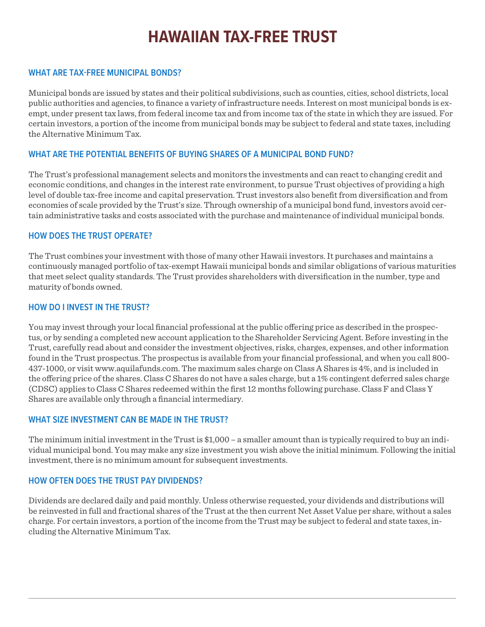#### **WHAT ARE TAX-FREE MUNICIPAL BONDS?**

Municipal bonds are issued by states and their political subdivisions, such as counties, cities, school districts, local public authorities and agencies, to finance a variety of infrastructure needs. Interest on most municipal bonds is exempt, under present tax laws, from federal income tax and from income tax of the state in which they are issued. For certain investors, a portion of the income from municipal bonds may be subject to federal and state taxes, including the Alternative Minimum Tax.

#### **WHAT ARE THE POTENTIAL BENEFITS OF BUYING SHARES OF A MUNICIPAL BOND FUND?**

The Trust's professional management selects and monitors the investments and can react to changing credit and economic conditions, and changes in the interest rate environment, to pursue Trust objectives of providing a high level of double tax-free income and capital preservation. Trust investors also benefit from diversification and from economies of scale provided by the Trust's size. Through ownership of a municipal bond fund, investors avoid certain administrative tasks and costs associated with the purchase and maintenance of individual municipal bonds.

#### **HOW DOES THE TRUST OPERATE?**

The Trust combines your investment with those of many other Hawaii investors. It purchases and maintains a continuously managed portfolio of tax-exempt Hawaii municipal bonds and similar obligations of various maturities that meet select quality standards. The Trust provides shareholders with diversification in the number, type and maturity of bonds owned.

#### **HOW DO I INVEST IN THE TRUST?**

You may invest through your local financial professional at the public offering price as described in the prospectus, or by sending a completed new account application to the Shareholder Servicing Agent. Before investing in the Trust, carefully read about and consider the investment objectives, risks, charges, expenses, and other information found in the Trust prospectus. The prospectus is available from your financial professional, and when you call 800- 437-1000, or visit www.aquilafunds.com. The maximum sales charge on Class A Shares is 4%, and is included in the offering price of the shares. Class C Shares do not have a sales charge, but a 1% contingent deferred sales charge (CDSC) applies to Class C Shares redeemed within the first 12 months following purchase. Class F and Class Y Shares are available only through a financial intermediary.

#### **WHAT SIZE INVESTMENT CAN BE MADE IN THE TRUST?**

The minimum initial investment in the Trust is \$1,000 – a smaller amount than is typically required to buy an individual municipal bond. You may make any size investment you wish above the initial minimum. Following the initial investment, there is no minimum amount for subsequent investments.

#### **HOW OFTEN DOES THE TRUST PAY DIVIDENDS?**

Dividends are declared daily and paid monthly. Unless otherwise requested, your dividends and distributions will be reinvested in full and fractional shares of the Trust at the then current Net Asset Value per share, without a sales charge. For certain investors, a portion of the income from the Trust may be subject to federal and state taxes, including the Alternative Minimum Tax.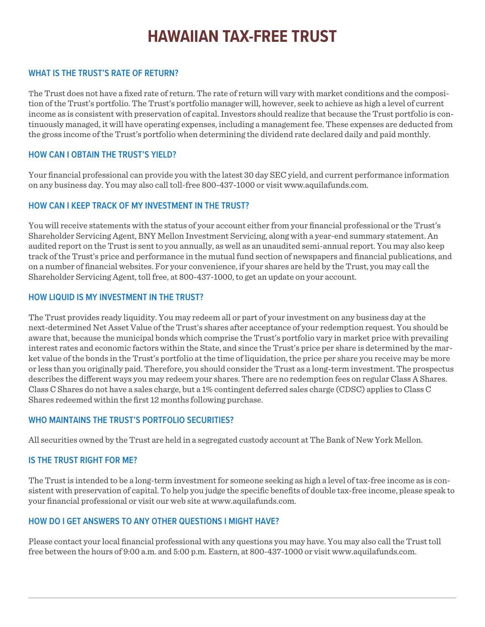#### **WHAT IS THE TRUST'S RATE OF RETURN?**

The Trust does not have a fixed rate of return. The rate of return will vary with market conditions and the composition of the Trust's portfolio. The Trust's portfolio manager will, however, seek to achieve as high a level of current income as is consistent with preservation of capital. Investors should realize that because the Trust portfolio is continuously managed, it will have operating expenses, including a management fee. These expenses are deducted from the gross income of the Trust's portfolio when determining the dividend rate declared daily and paid monthly.

#### **HOW CAN I OBTAIN THE TRUST'S YIELD?**

Your financial professional can provide you with the latest 30 day SEC yield, and current performance information on any business day. You may also call toll-free 800-437-1000 or visit www.aquilafunds.com.

#### **HOW CAN I KEEP TRACK OF MY INVESTMENT IN THE TRUST?**

You will receive statements with the status of your account either from your financial professional or the Trust's Shareholder Servicing Agent, BNY Mellon Investment Servicing, along with a year-end summary statement. An audited report on the Trust is sent to you annually, as well as an unaudited semi-annual report. You may also keep track of the Trust's price and performance in the mutual fund section of newspapers and financial publications, and on a number of financial websites. For your convenience, if your shares are held by the Trust, you may call the Shareholder Servicing Agent, toll free, at 800-437-1000, to get an update on your account.

#### **HOW LIQUID IS MY INVESTMENT IN THE TRUST?**

The Trust provides ready liquidity. You may redeem all or part of your investment on any business day at the next-determined Net Asset Value of the Trust's shares after acceptance of your redemption request. You should be aware that, because the municipal bonds which comprise the Trust's portfolio vary in market price with prevailing interest rates and economic factors within the State, and since the Trust's price per share is determined by the market value of the bonds in the Trust's portfolio at the time of liquidation, the price per share you receive may be more or less than you originally paid. Therefore, you should consider the Trust as a long-term investment. The prospectus describes the different ways you may redeem your shares. There are no redemption fees on regular Class A Shares. Class C Shares do not have a sales charge, but a 1% contingent deferred sales charge (CDSC) applies to Class C Shares redeemed within the first 12 months following purchase.

#### **WHO MAINTAINS THE TRUST'S PORTFOLIO SECURITIES?**

All securities owned by the Trust are held in a segregated custody account at The Bank of New York Mellon.

#### **IS THE TRUST RIGHT FOR ME?**

The Trust is intended to be a long-term investment for someone seeking as high a level of tax-free income as is consistent with preservation of capital. To help you judge the specific benefits of double tax-free income, please speak to your financial professional or visit our web site at www.aquilafunds.com.

#### **HOW DO I GET ANSWERS TO ANY OTHER QUESTIONS I MIGHT HAVE?**

Please contact your local financial professional with any questions you may have. You may also call the Trust toll free between the hours of 9:00 a.m. and 5:00 p.m. Eastern, at 800-437-1000 or visit www.aquilafunds.com.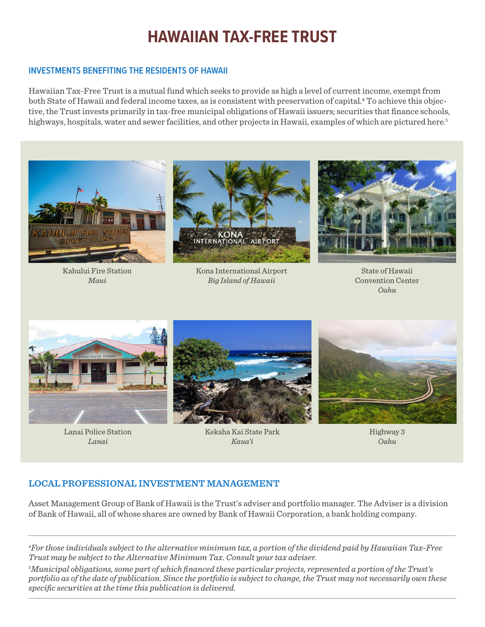#### **INVESTMENTS BENEFITING THE RESIDENTS OF HAWAII**

Hawaiian Tax-Free Trust is a mutual fund which seeks to provide as high a level of current income, exempt from both State of Hawaii and federal income taxes, as is consistent with preservation of capital.<sup>4</sup> To achieve this objective, the Trust invests primarily in tax-free municipal obligations of Hawaii issuers; securities that finance schools, highways, hospitals, water and sewer facilities, and other projects in Hawaii, examples of which are pictured here. 5



Kahului Fire Station *Maui*



Kona International Airport *Big Island of Hawaii*



State of Hawaii Convention Center *Oahu*



Lanai Police Station *Lanai*



Kekaha Kai State Park *Kaua'i*

Highway 3 *Oahu*

#### **LOCAL PROFESSIONAL INVESTMENT MANAGEMENT**

Asset Management Group of Bank of Hawaii is the Trust's adviser and portfolio manager. The Adviser is a division of Bank of Hawaii, all of whose shares are owned by Bank of Hawaii Corporation, a bank holding company.

*4 For those individuals subject to the alternative minimum tax, a portion of the dividend paid by Hawaiian Tax-Free Trust may be subject to the Alternative Minimum Tax. Consult your tax adviser.*

*5 Municipal obligations, some part of which financed these particular projects, represented a portion of the Trust's portfolio as of the date of publication. Since the portfolio is subject to change, the Trust may not necessarily own these specific securities at the time this publication is delivered.*